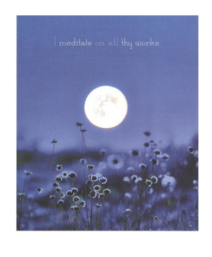# I meditate on all thy works

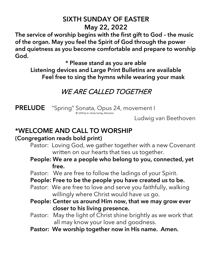## SIXTH SUNDAY OF EASTER May 22, 2022

The service of worship begins with the first gift to God – the music of the organ. May you feel the Spirit of God through the power and quietness as you become comfortable and prepare to worship God.

\* Please stand as you are able

Listening devices and Large Print Bulletins are available Feel free to sing the hymns while wearing your mask

# WE ARE CALLED TOGETHER

**PRELUDE** "Spring" Sonata, Opus 24, movement I © <sup>1978</sup> by G. Henle Verlag, München

Ludwig van Beethoven

## \*WELCOME AND CALL TO WORSHIP

#### (Congregation reads bold print)

- Pastor: Loving God, we gather together with a new Covenant written on our hearts that ties us together.
- People: We are a people who belong to you, connected, yet free.
- Pastor: We are free to follow the ladings of your Spirit.
- People: Free to be the people you have created us to be.
- Pastor: We are free to love and serve you faithfully, walking willingly where Christ would have us go.
- People: Center us around Him now, that we may grow ever closer to his living presence.
- Pastor: May the light of Christ shine brightly as we work that all may know your love and goodness.
- Pastor: We worship together now in His name. Amen.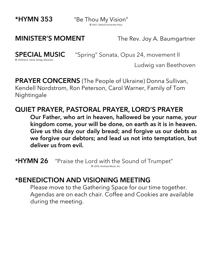\*HYMN 353 "Be Thou My Vision" © 1927, Oxford University Press

**MINISTER'S MOMENT** The Rev. Joy A. Baumgartner

© 1978 by G. Henle Verlag, München

**SPECIAL MUSIC** "Spring" Sonata, Opus 24, movement II

Ludwig van Beethoven

**PRAYER CONCERNS** (The People of Ukraine) Donna Sullivan, Kendell Nordstrom, Ron Peterson, Carol Warner, Family of Tom Nightingale

## QUIET PRAYER, PASTORAL PRAYER, LORD'S PRAYER

Our Father, who art in heaven, hallowed be your name, your kingdom come, your will be done, on earth as it is in heaven. Give us this day our daily bread; and forgive us our debts as we forgive our debtors; and lead us not into temptation, but deliver us from evil.

\*HYMN 26 "Praise the Lord with the Sound of Trumpet" © 1976, Hinshaw Music, Inc.

## \*BENEDICTION AND VISIONING MEETING

Please move to the Gathering Space for our time together. Agendas are on each chair. Coffee and Cookies are available during the meeting.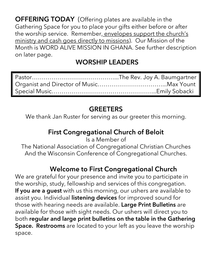**OFFERING TODAY** (Offering plates are available in the Gathering Space for you to place your gifts either before or after the worship service. Remember, envelopes support the church's ministry and cash goes directly to missions). Our Mission of the Month is WORD ALIVE MISSION IN GHANA. See further description on later page.

# WORSHIP LEADERS

# **GREETERS**

We thank Jan Ruster for serving as our greeter this morning.

# First Congregational Church of Beloit

Is a Member of The National Association of Congregational Christian Churches And the Wisconsin Conference of Congregational Churches.

## Welcome to First Congregational Church

We are grateful for your presence and invite you to participate in the worship, study, fellowship and services of this congregation. If you are a guest with us this morning, our ushers are available to assist you. Individual listening devices for improved sound for those with hearing needs are available. Large Print Bulletins are available for those with sight needs. Our ushers will direct you to both regular and large print bulletins on the table in the Gathering Space. Restrooms are located to your left as you leave the worship space.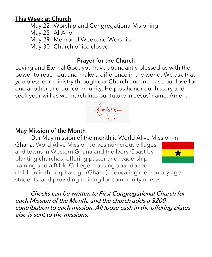#### This Week at Church

May 22– Worship and Congregational Visioning May 25– Al-Anon May 29– Memorial Weekend Worship May 30– Church office closed

#### Prayer for the Church

Loving and Eternal God, you have abundantly blessed us with the power to reach out and make a difference in the world. We ask that you bless our ministry through our Church and increase our love for one another and our community. Help us honor our history and seek your will as we march into our future in Jesus' name. Amen.



#### May Mission of the Month

Our May mission of the month is World Alive Mission in Ghana. Word Alive Mission serves numerous villages and towns in Western Ghana and the Ivory Coast by planting churches, offering pastor and leadership training and a Bible College, housing abandoned



children in the orphanage (Ghana), educating elementary age students, and providing training for community nurses.

Checks can be written to First Congregational Church for each Mission of the Month, and the church adds a \$200 contribution to each mission. All loose cash in the offering plates also is sent to the missions.